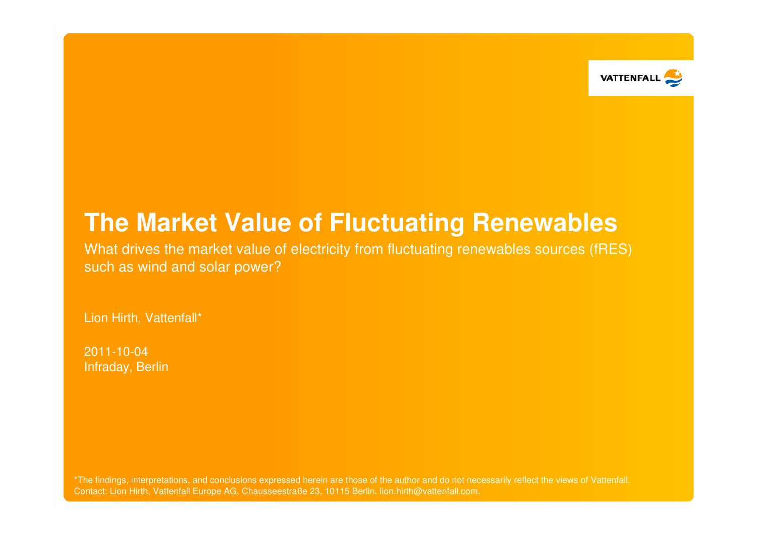

# **The Market Value of Fluctuating Renewables**

 What drives the market value of electricity from fluctuating renewables sources (fRES)such as wind and solar power?

Lion Hirth, Vattenfall\*

2011-10-04Infraday, Berlin

\*The findings, interpretations, and conclusions expressed herein are those of the author and do not necessarily reflect the views of Vattenfall. Contact: Lion Hirth, Vattenfall Europe AG, Chausseestraße 23, 10115 Berlin. lion.hirth@vattenfall.com.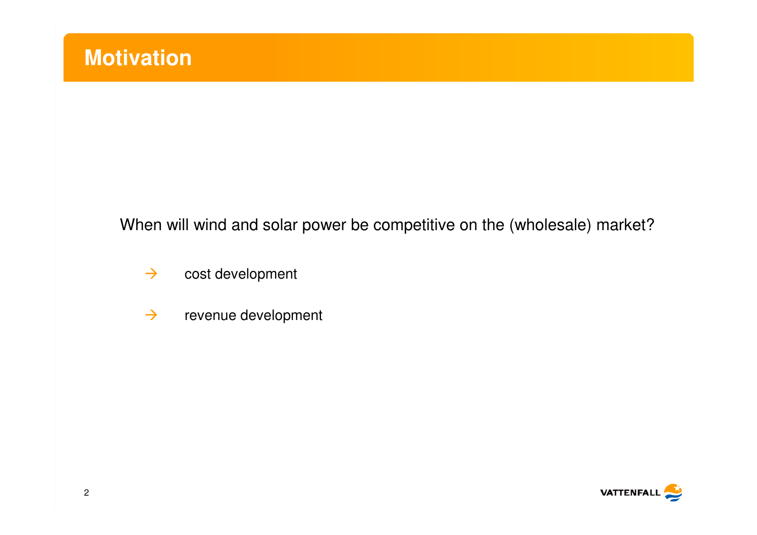### **Motivation**

When will wind and solar power be competitive on the (wholesale) market?

- $\rightarrow$ cost development
- $\rightarrow$ revenue development

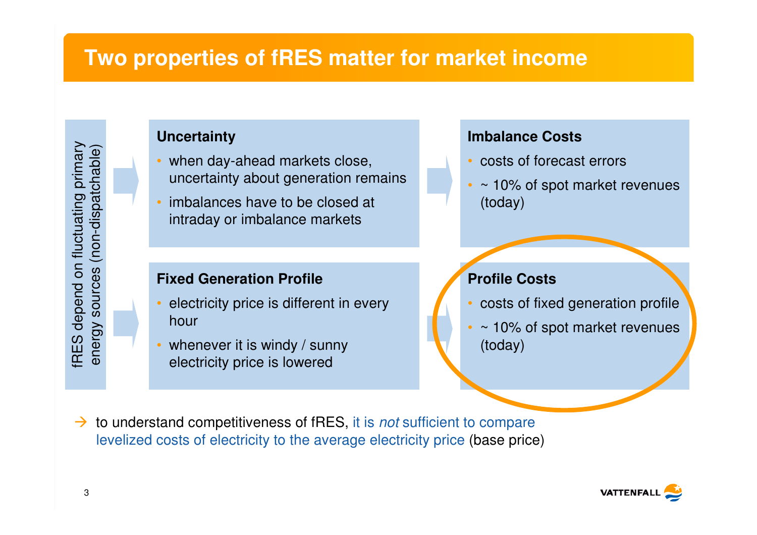#### **Two properties of fRES matter for market income**

fRES depend on fluctuating primary fRES depend on fluctuating primary energy sources (non-dispatchable)energy sources (non-dispatchable)

#### **Uncertainty**

•

- when day-ahead markets close, uncertainty about generation remains
- imbalances have to be closed at intraday or imbalance markets

#### **Fixed Generation Profile**

- electricity price is different in every hour
- •whenever it is windy / sunny electricity price is lowered

#### **Imbalance Costs**

- costs of forecast errors
- ~ 10% of spot market revenues (today)

#### **Profile Costs**

- costs of fixed generation profile
- ~ 10% of spot market revenues (today)

 $\rightarrow$  to understand competitiveness of fRES, it is *not* sufficient to compare<br>levelized costs of electricity to the average electricity price (base price levelized costs of electricity to the average electricity price (base price)

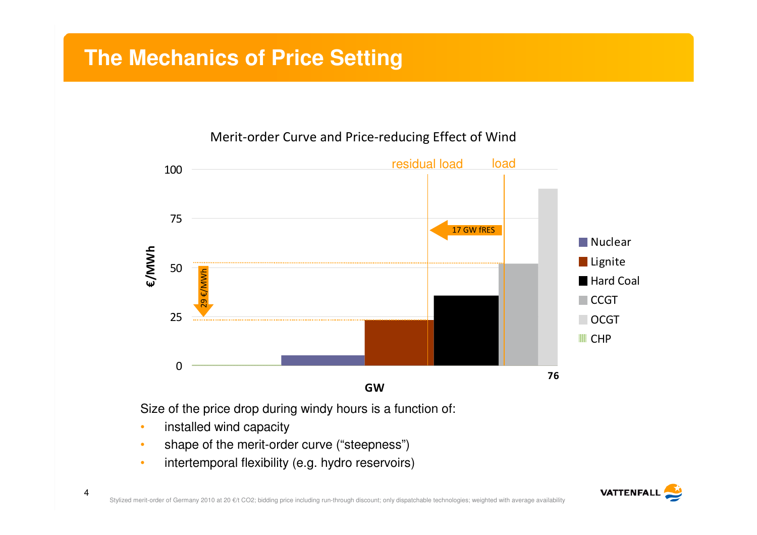### **The Mechanics of Price Setting**



Merit-order Curve and Price-reducing Effect of Wind

Size of the price drop during windy hours is a function of:

- •installed wind capacity
- shape of the merit-order curve ("steepness") •
- •intertemporal flexibility (e.g. hydro reservoirs)

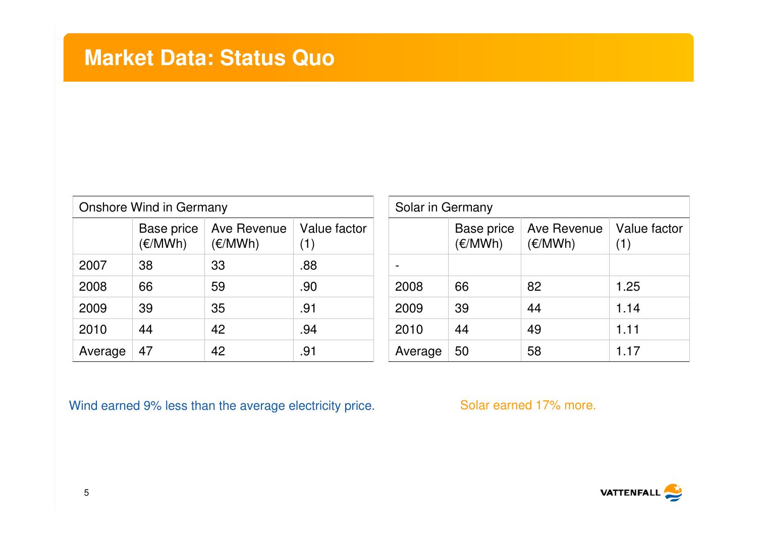#### **Market Data: Status Quo**

| <b>Onshore Wind in Germany</b> |                       |                        |                     |  |  |
|--------------------------------|-----------------------|------------------------|---------------------|--|--|
|                                | Base price<br>(E/MWh) | Ave Revenue<br>(E/MWh) | Value factor<br>(1) |  |  |
| 2007                           | 38                    | 33                     | .88                 |  |  |
| 2008                           | 66                    | 59                     | .90                 |  |  |
| 2009                           | 39                    | 35                     | .91                 |  |  |
| 2010                           | 44                    | 42                     | .94                 |  |  |
| Average                        | 47                    | 42                     | .91                 |  |  |

| Solar in Germany |                       |                        |                     |  |
|------------------|-----------------------|------------------------|---------------------|--|
|                  | Base price<br>(E/MWh) | Ave Revenue<br>(E/MWh) | Value factor<br>(1) |  |
|                  |                       |                        |                     |  |
| 2008             | 66                    | 82                     | 1.25                |  |
| 2009             | 39                    | 44                     | 1.14                |  |
| 2010             | 44                    | 49                     | 1.11                |  |
| Average          | 50                    | 58                     | 1.17                |  |

Wind earned 9% less than the average electricity price. Solar earned 17% more.

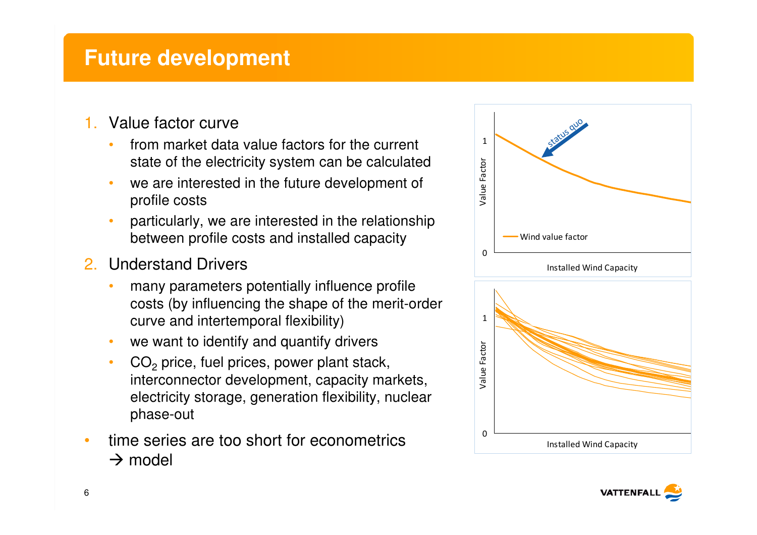### **Future development**

- 1. Value factor curve
	- from market data value factors for the current •state of the electricity system can be calculated
	- • we are interested in the future development of profile costs
	- • particularly, we are interested in the relationshipbetween profile costs and installed capacity
- 2. Understand Drivers
	- • many parameters potentially influence profile costs (by influencing the shape of the merit-order curve and intertemporal flexibility)
	- •we want to identify and quantify drivers
	- •CO<sub>2</sub> price, fuel prices, power plant stack, interconnector development, capacity markets, electricity storage, generation flexibility, nuclear phase-out
- • time series are too short for econometrics $\rightarrow$  model



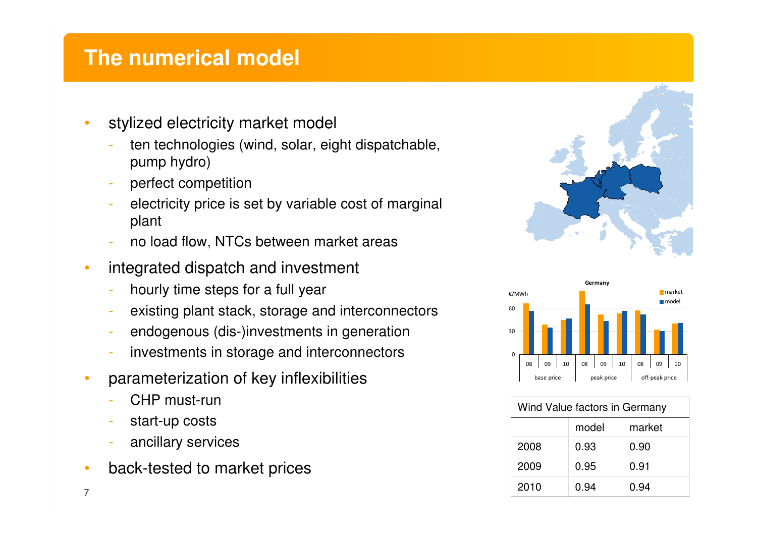#### **The numerical model**

- • stylized electricity market model
	- ten technologies (wind, solar, eight dispatchable, pump hydro)
	- perfect competition
	- electricity price is set by variable cost of marginal plant
	- no load flow, NTCs between market areas
- • integrated dispatch and investment
	- hourly time steps for a full year
	- existing plant stack, storage and interconnectors
	- endogenous (dis-)investments in generation
	- investments in storage and interconnectors
- • parameterization of key inflexibilities
	- CHP must-run
	- start-up costs
	- ancillary services
- •back-tested to market prices





| Wind Value factors in Germany |       |        |  |  |
|-------------------------------|-------|--------|--|--|
|                               | model | market |  |  |
| 2008                          | 0.93  | 0.90   |  |  |
| 2009                          | 0.95  | 0.91   |  |  |
| 2010                          | 0.94  | 0.94   |  |  |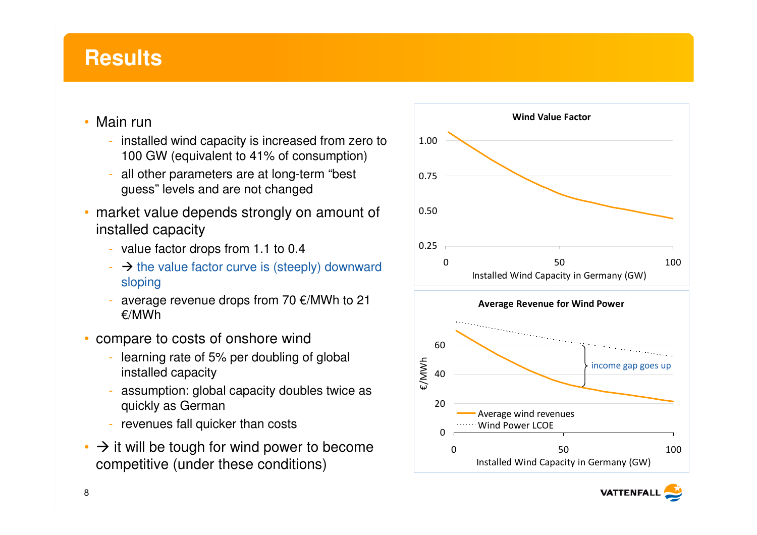# **Results**

- Main run
	- installed wind capacity is increased from zero to 100 GW (equivalent to 41% of consumption)
	- all other parameters are at long-term "best guess" levels and are not changed
- market value depends strongly on amount of installed capacity
	- value factor drops from 1.1 to 0.4
	- $\rightarrow$  the value factor curve is (steeply) downward sloping
	- average revenue drops from 70  $€/MWh$  to 21 €/MWh
- compare to costs of onshore wind
	- learning rate of 5% per doubling of global installed capacity
	- assumption: global capacity doubles twice as quickly as German
	- revenues fall quicker than costs
- $\cdot$   $\rightarrow$  it will be tough for wind power to become<br>compatitive (under these conditions) competitive (under these conditions)



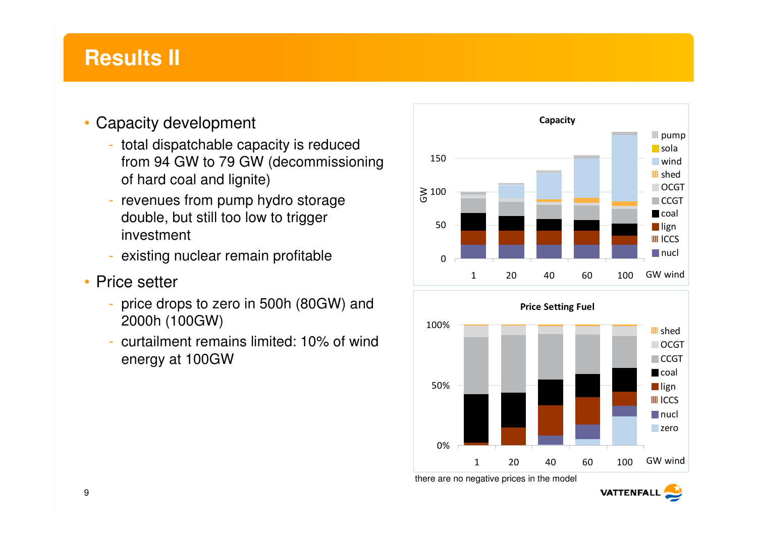# **Results II**

- • Capacity development
	- total dispatchable capacity is reduced from 94 GW to 79 GW (decommissioning of hard coal and lignite)
	- revenues from pump hydro storage double, but still too low to trigger investment
	- existing nuclear remain profitable
- Price setter
	- price drops to zero in 500h (80GW) and 2000h (100GW)
	- curtailment remains limited: 10% of wind energy at 100GW



there are no negative prices in the model

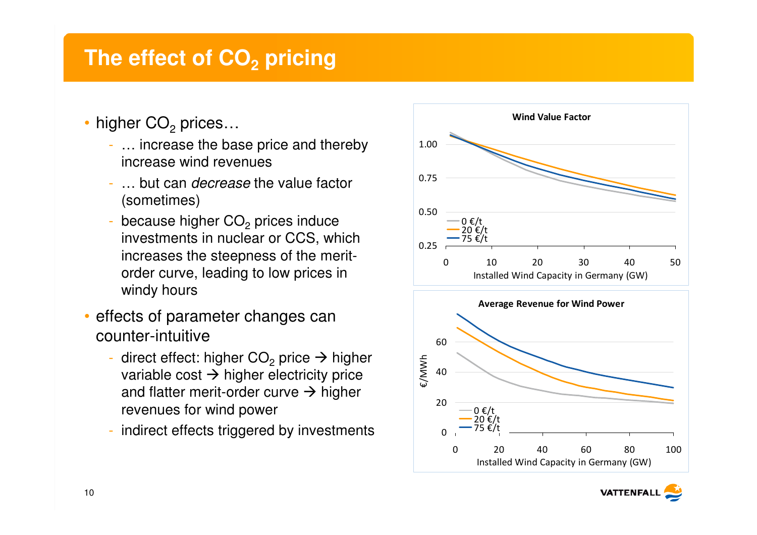# **The effect of CO2 pricing**

- higher  $\mathsf{CO}_2$  prices…
	- … increase the base price and thereby increase wind revenues
	- ... but can *decrease* the value factor (sometimes)
	- because higher  $CO<sub>2</sub>$  prices induce investments in nuclear or CCS, which increases the steepness of the meritorder curve, leading to low prices in windy hours
- • effects of parameter changes can counter-intuitive
	- direct effect: higher CO<sub>2</sub> price → higher<br>variable cost → bigher electricity price variable cost → higher electricity price<br>and flatter merit-order curve → higher and flatter merit-order curve -> higher<br>revenues for wind power revenues for wind power
	- indirect effects triggered by investments



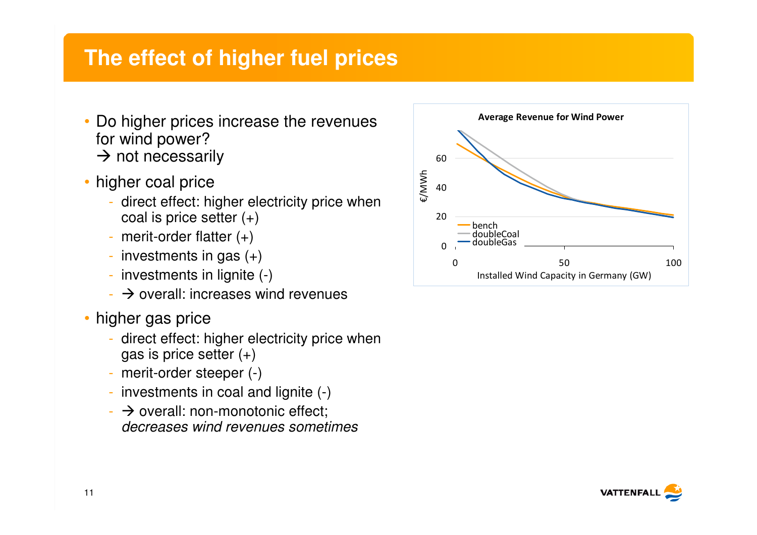### **The effect of higher fuel prices**

- $\bullet$  Do higher prices increase the revenues for wind power? $\rightarrow$  not necessarily
- higher coal price
	- direct effect: higher electricity price when coal is price setter (+)
	- merit-order flatter (+)
	- investments in gas (+)
	- investments in lignite (-)
	- $\rightarrow$  overall: increases wind revenues
- higher gas price
	- direct effect: higher electricity price when gas is price setter  $(+)$
	- merit-order steeper (-)
	- investments in coal and lignite (-)
	- $\rightarrow$  overall: non-monotonic effect;<br>decreases wind revenues someti decreases wind revenues sometimes



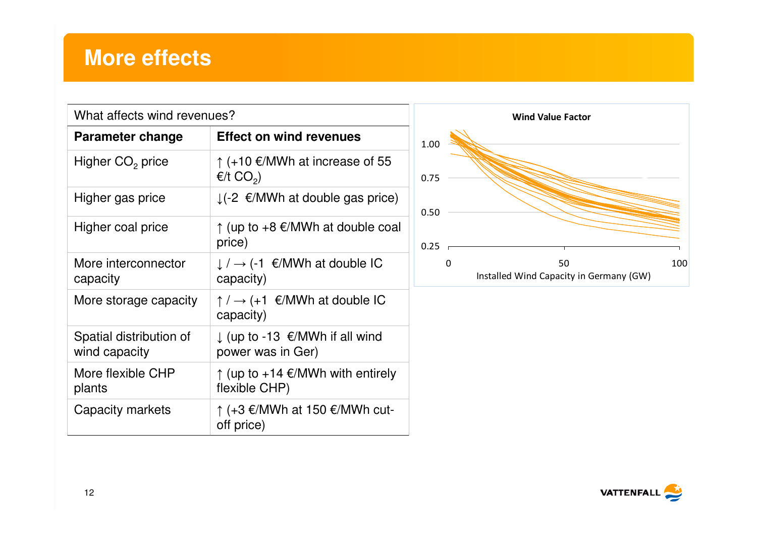# **More effects**

| What affects wind revenues?              |                                                                            | <b>Wind Value Factor</b>                                  |
|------------------------------------------|----------------------------------------------------------------------------|-----------------------------------------------------------|
| <b>Parameter change</b>                  | <b>Effect on wind revenues</b>                                             | 1.00                                                      |
| Higher CO <sub>2</sub> price             | ↑ (+10 €/MWh at increase of 55<br>€/t CO <sub>2</sub> )                    | 0.75                                                      |
| Higher gas price                         | ↓ $($ -2 €/MWh at double gas price)                                        | 0.50                                                      |
| Higher coal price                        | ↑ (up to +8 $€/MWh$ at double coal<br>price)                               | 0.25                                                      |
| More interconnector<br>capacity          | $\downarrow$ / $\rightarrow$ (-1 $\epsilon$ /MWh at double IC<br>capacity) | 50<br>100<br>0<br>Installed Wind Capacity in Germany (GW) |
| More storage capacity                    | ↑ / → (+1 €/MWh at double IC<br>capacity)                                  |                                                           |
| Spatial distribution of<br>wind capacity | ↓ (up to -13 $\epsilon$ /MWh if all wind<br>power was in Ger)              |                                                           |
| More flexible CHP<br>plants              | $\uparrow$ (up to +14 $\epsilon$ /MWh with entirely<br>flexible CHP)       |                                                           |
| Capacity markets                         | ↑ (+3 €/MWh at 150 €/MWh cut-<br>off price)                                |                                                           |

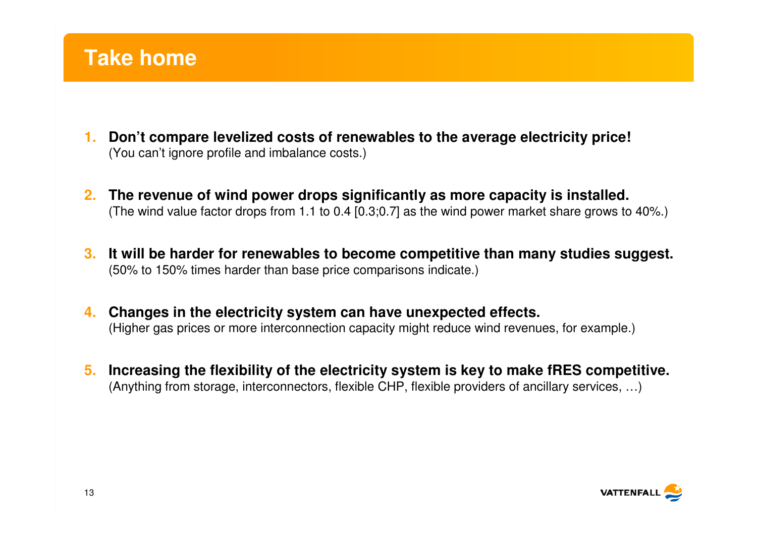### **Take home**

- **1. Don't compare levelized costs of renewables to the average electricity price!**(You can't ignore profile and imbalance costs.)
- **2. The revenue of wind power drops significantly as more capacity is installed.** (The wind value factor drops from 1.1 to 0.4 [0.3;0.7] as the wind power market share grows to 40%.)
- **3. It will be harder for renewables to become competitive than many studies suggest.** (50% to 150% times harder than base price comparisons indicate.)
- **4. Changes in the electricity system can have unexpected effects.** (Higher gas prices or more interconnection capacity might reduce wind revenues, for example.)
- **5. Increasing the flexibility of the electricity system is key to make fRES competitive.** (Anything from storage, interconnectors, flexible CHP, flexible providers of ancillary services, …)